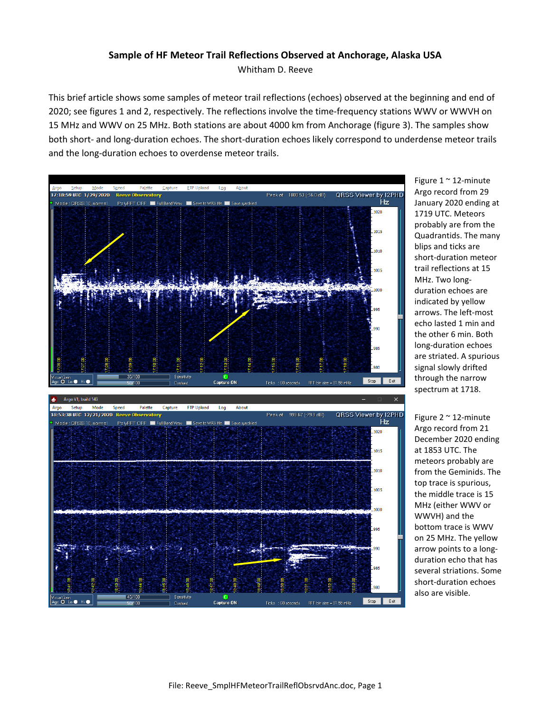## **Sample of HF Meteor Trail Reflections Observed at Anchorage, Alaska USA**

Whitham D. Reeve

This brief article shows some samples of meteor trail reflections (echoes) observed at the beginning and end of 2020; see figures 1 and 2, respectively. The reflections involve the time-frequency stations WWV or WWVH on 15 MHz and WWV on 25 MHz. Both stations are about 4000 km from Anchorage (figure 3). The samples show both short- and long-duration echoes. The short-duration echoes likely correspond to underdense meteor trails and the long-duration echoes to overdense meteor trails.



Figure 1 ~ 12-minute Argo record from 29 January 2020 ending at 1719 UTC. Meteors probably are from the Quadrantids. The many blips and ticks are short-duration meteor trail reflections at 15 MHz. Two longduration echoes are indicated by yellow arrows. The left-most echo lasted 1 min and the other 6 min. Both long-duration echoes are striated. A spurious signal slowly drifted through the narrow spectrum at 1718.

Figure  $2 \sim 12$ -minute Argo record from 21 December 2020 ending at 1853 UTC. The meteors probably are from the Geminids. The top trace is spurious, the middle trace is 15 MHz (either WWV or WWVH) and the bottom trace is WWV on 25 MHz. The yellow arrow points to a longduration echo that has several striations. Some short-duration echoes also are visible.